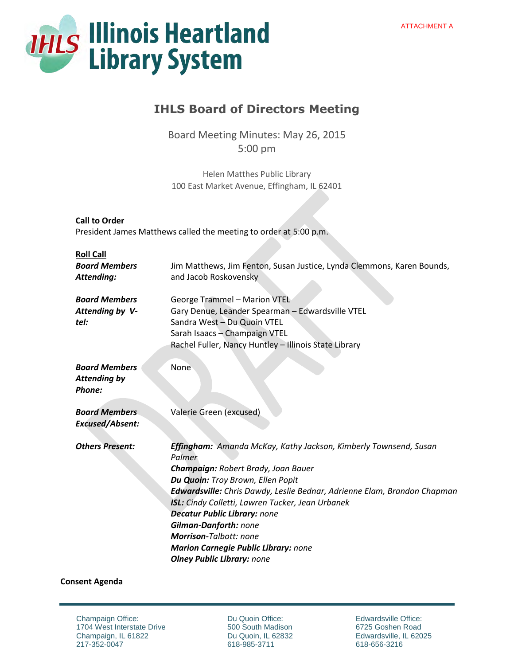

# **IHLS Board of Directors Meeting**

Board Meeting Minutes: May 26, 2015 5:00 pm

Helen Matthes Public Library 100 East Market Avenue, Effingham, IL 62401

| President James Matthews called the meeting to order at 5:00 p.m. |                                                                                                                                                                                                                                                                                                                                                                                                                                                                                           |
|-------------------------------------------------------------------|-------------------------------------------------------------------------------------------------------------------------------------------------------------------------------------------------------------------------------------------------------------------------------------------------------------------------------------------------------------------------------------------------------------------------------------------------------------------------------------------|
| <b>Roll Call</b><br><b>Board Members</b><br>Attending:            | Jim Matthews, Jim Fenton, Susan Justice, Lynda Clemmons, Karen Bounds,<br>and Jacob Roskovensky                                                                                                                                                                                                                                                                                                                                                                                           |
| <b>Board Members</b><br>Attending by V-<br>tel:                   | <b>George Trammel - Marion VTEL</b><br>Gary Denue, Leander Spearman - Edwardsville VTEL<br>Sandra West - Du Quoin VTEL<br>Sarah Isaacs - Champaign VTEL<br>Rachel Fuller, Nancy Huntley - Illinois State Library                                                                                                                                                                                                                                                                          |
| <b>Board Members</b><br><b>Attending by</b><br>Phone:             | None                                                                                                                                                                                                                                                                                                                                                                                                                                                                                      |
| <b>Board Members</b><br><b>Excused/Absent:</b>                    | Valerie Green (excused)                                                                                                                                                                                                                                                                                                                                                                                                                                                                   |
| <b>Others Present:</b>                                            | <b>Effingham:</b> Amanda McKay, Kathy Jackson, Kimberly Townsend, Susan<br>Palmer<br>Champaign: Robert Brady, Joan Bauer<br>Du Quoin: Troy Brown, Ellen Popit<br>Edwardsville: Chris Dawdy, Leslie Bednar, Adrienne Elam, Brandon Chapman<br><b>ISL:</b> Cindy Colletti, Lawren Tucker, Jean Urbanek<br><b>Decatur Public Library: none</b><br><b>Gilman-Danforth: none</b><br>Morrison-Talbott: none<br><b>Marion Carnegie Public Library: none</b><br><b>Olney Public Library: none</b> |

# **Consent Agenda**

**Call to Order** 

Champaign Office: 1704 West Interstate Drive Champaign, IL 61822 217-352-0047

Du Quoin Office: 500 South Madison Du Quoin, IL 62832 618-985-3711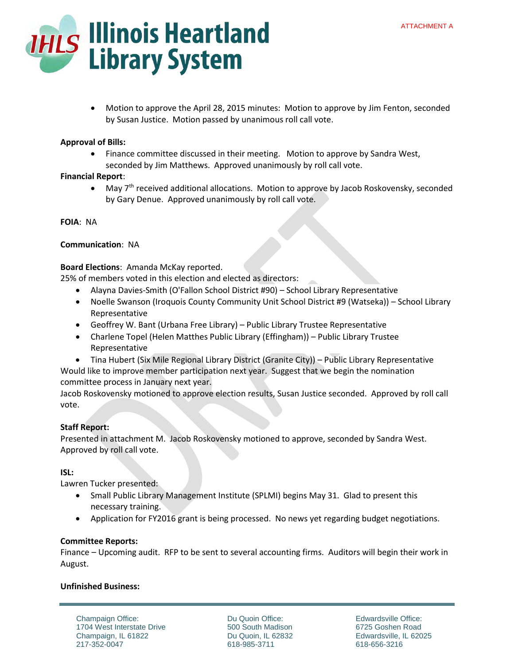

 Motion to approve the April 28, 2015 minutes: Motion to approve by Jim Fenton, seconded by Susan Justice. Motion passed by unanimous roll call vote.

# **Approval of Bills:**

 Finance committee discussed in their meeting. Motion to approve by Sandra West, seconded by Jim Matthews. Approved unanimously by roll call vote.

# **Financial Report**:

• May 7<sup>th</sup> received additional allocations. Motion to approve by Jacob Roskovensky, seconded by Gary Denue. Approved unanimously by roll call vote.

**FOIA**: NA

# **Communication**: NA

# **Board Elections**: Amanda McKay reported.

25% of members voted in this election and elected as directors:

- Alayna Davies-Smith (O'Fallon School District #90) School Library Representative
- Noelle Swanson (Iroquois County Community Unit School District #9 (Watseka)) School Library Representative
- Geoffrey W. Bant (Urbana Free Library) Public Library Trustee Representative
- Charlene Topel (Helen Matthes Public Library (Effingham)) Public Library Trustee Representative
- Tina Hubert (Six Mile Regional Library District (Granite City)) Public Library Representative

Would like to improve member participation next year. Suggest that we begin the nomination committee process in January next year.

Jacob Roskovensky motioned to approve election results, Susan Justice seconded. Approved by roll call vote.

# **Staff Report:**

Presented in attachment M. Jacob Roskovensky motioned to approve, seconded by Sandra West. Approved by roll call vote.

## **ISL:**

Lawren Tucker presented:

- Small Public Library Management Institute (SPLMI) begins May 31. Glad to present this necessary training.
- Application for FY2016 grant is being processed. No news yet regarding budget negotiations.

## **Committee Reports:**

Finance – Upcoming audit. RFP to be sent to several accounting firms. Auditors will begin their work in August.

# **Unfinished Business:**

Champaign Office: 1704 West Interstate Drive Champaign, IL 61822 217-352-0047

Du Quoin Office: 500 South Madison Du Quoin, IL 62832 618-985-3711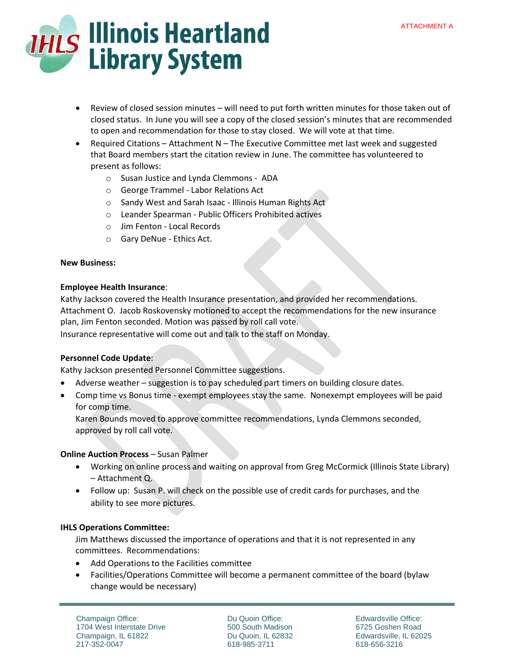

- Review of closed session minutes will need to put forth written minutes for those taken out of closed status. In June you will see a copy of the closed session's minutes that are recommended to open and recommendation for those to stay closed. We will vote at that time.
- Required Citations Attachment N The Executive Committee met last week and suggested that Board members start the citation review in June. The committee has volunteered to present as follows:
	- o Susan Justice and Lynda Clemmons ADA
	- o George Trammel Labor Relations Act
	- o Sandy West and Sarah Isaac Illinois Human Rights Act
	- o Leander Spearman Public Officers Prohibited actives
	- o Jim Fenton Local Records
	- o Gary DeNue Ethics Act.

#### **New Business:**

#### **Employee Health Insurance**:

Kathy Jackson covered the Health Insurance presentation, and provided her recommendations. Attachment O. Jacob Roskovensky motioned to accept the recommendations for the new insurance plan, Jim Fenton seconded. Motion was passed by roll call vote. Insurance representative will come out and talk to the staff on Monday.

## **Personnel Code Update**:

Kathy Jackson presented Personnel Committee suggestions.

- Adverse weather suggestion is to pay scheduled part timers on building closure dates.
- Comp time vs Bonus time exempt employees stay the same. Nonexempt employees will be paid for comp time.

Karen Bounds moved to approve committee recommendations, Lynda Clemmons seconded, approved by roll call vote.

## **Online Auction Process – Susan Palmer**

- Working on online process and waiting on approval from Greg McCormick (Illinois State Library) – Attachment Q.
- Follow up: Susan P. will check on the possible use of credit cards for purchases, and the ability to see more pictures.

## **IHLS Operations Committee:**

Jim Matthews discussed the importance of operations and that it is not represented in any committees. Recommendations:

- Add Operations to the Facilities committee
- Facilities/Operations Committee will become a permanent committee of the board (bylaw change would be necessary)

Champaign Office: 1704 West Interstate Drive Champaign, IL 61822 217-352-0047

Du Quoin Office: 500 South Madison Du Quoin, IL 62832 618-985-3711